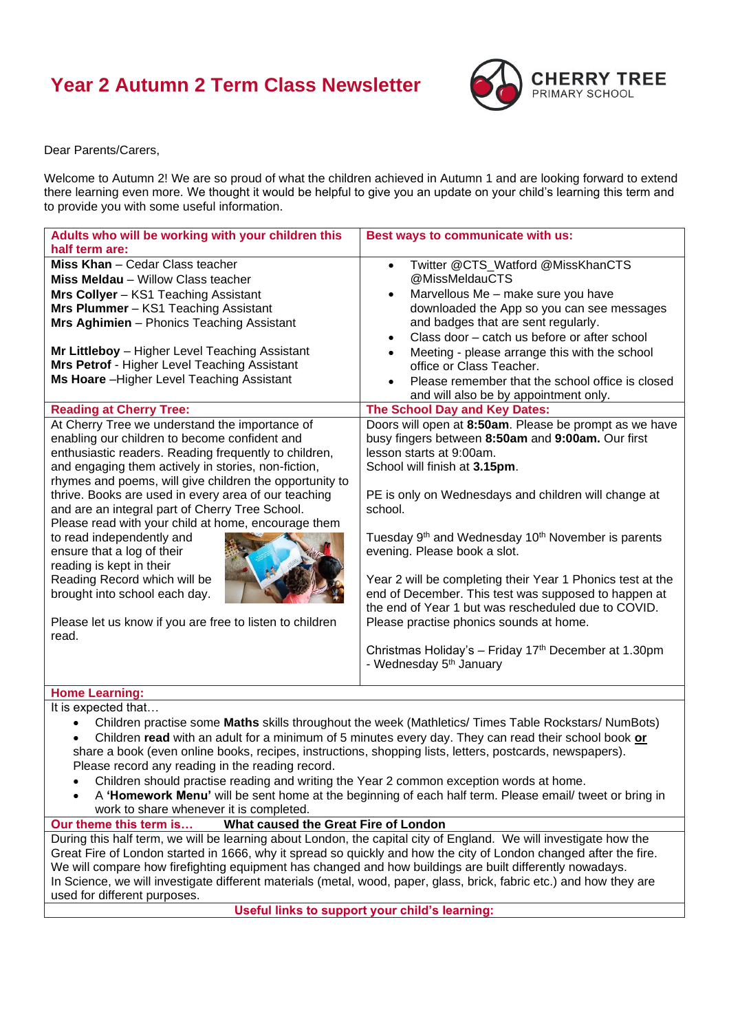## **Year 2 Autumn 2 Term Class Newsletter**



Dear Parents/Carers,

Welcome to Autumn 2! We are so proud of what the children achieved in Autumn 1 and are looking forward to extend there learning even more. We thought it would be helpful to give you an update on your child's learning this term and to provide you with some useful information.

| Adults who will be working with your children this                                                                                                                                                                                                                                                                                                                                                                                                                                                                                                                                                                                                                        | Best ways to communicate with us:                                                                                                                                                                                                                                                                                                                                                                                                                                                                                                                                                                                                                                                |
|---------------------------------------------------------------------------------------------------------------------------------------------------------------------------------------------------------------------------------------------------------------------------------------------------------------------------------------------------------------------------------------------------------------------------------------------------------------------------------------------------------------------------------------------------------------------------------------------------------------------------------------------------------------------------|----------------------------------------------------------------------------------------------------------------------------------------------------------------------------------------------------------------------------------------------------------------------------------------------------------------------------------------------------------------------------------------------------------------------------------------------------------------------------------------------------------------------------------------------------------------------------------------------------------------------------------------------------------------------------------|
|                                                                                                                                                                                                                                                                                                                                                                                                                                                                                                                                                                                                                                                                           |                                                                                                                                                                                                                                                                                                                                                                                                                                                                                                                                                                                                                                                                                  |
| half term are:<br>Miss Khan - Cedar Class teacher<br><b>Miss Meldau</b> - Willow Class teacher<br>Mrs Collyer - KS1 Teaching Assistant<br>Mrs Plummer - KS1 Teaching Assistant<br>Mrs Aghimien - Phonics Teaching Assistant<br>Mr Littleboy - Higher Level Teaching Assistant<br>Mrs Petrof - Higher Level Teaching Assistant                                                                                                                                                                                                                                                                                                                                             | Twitter @CTS_Watford @MissKhanCTS<br>$\bullet$<br>@MissMeldauCTS<br>Marvellous Me - make sure you have<br>$\bullet$<br>downloaded the App so you can see messages<br>and badges that are sent regularly.<br>Class door - catch us before or after school<br>$\bullet$<br>Meeting - please arrange this with the school<br>office or Class Teacher.                                                                                                                                                                                                                                                                                                                               |
| Ms Hoare - Higher Level Teaching Assistant                                                                                                                                                                                                                                                                                                                                                                                                                                                                                                                                                                                                                                | Please remember that the school office is closed<br>and will also be by appointment only.                                                                                                                                                                                                                                                                                                                                                                                                                                                                                                                                                                                        |
| <b>Reading at Cherry Tree:</b>                                                                                                                                                                                                                                                                                                                                                                                                                                                                                                                                                                                                                                            | The School Day and Key Dates:                                                                                                                                                                                                                                                                                                                                                                                                                                                                                                                                                                                                                                                    |
| At Cherry Tree we understand the importance of<br>enabling our children to become confident and<br>enthusiastic readers. Reading frequently to children,<br>and engaging them actively in stories, non-fiction,<br>rhymes and poems, will give children the opportunity to<br>thrive. Books are used in every area of our teaching<br>and are an integral part of Cherry Tree School.<br>Please read with your child at home, encourage them<br>to read independently and<br>ensure that a log of their<br>reading is kept in their<br>Reading Record which will be<br>brought into school each day.<br>Please let us know if you are free to listen to children<br>read. | Doors will open at 8:50am. Please be prompt as we have<br>busy fingers between 8:50am and 9:00am. Our first<br>lesson starts at 9:00am.<br>School will finish at 3.15pm.<br>PE is only on Wednesdays and children will change at<br>school.<br>Tuesday 9 <sup>th</sup> and Wednesday 10 <sup>th</sup> November is parents<br>evening. Please book a slot.<br>Year 2 will be completing their Year 1 Phonics test at the<br>end of December. This test was supposed to happen at<br>the end of Year 1 but was rescheduled due to COVID.<br>Please practise phonics sounds at home.<br>Christmas Holiday's - Friday 17th December at 1.30pm<br>- Wednesday 5 <sup>th</sup> January |
| <b>Home Learning:</b>                                                                                                                                                                                                                                                                                                                                                                                                                                                                                                                                                                                                                                                     |                                                                                                                                                                                                                                                                                                                                                                                                                                                                                                                                                                                                                                                                                  |
| It is expected that<br>Children practise some Maths skills throughout the week (Mathletics/ Times Table Rockstars/ NumBots)<br>$\bullet$<br>Children read with an adult for a minimum of 5 minutes every day. They can read their school book or<br>share a book (even online books, recipes, instructions, shopping lists, letters, postcards, newspapers).<br>Please record any reading in the reading record.<br>Children should practise reading and writing the Year 2 common exception words at home.                                                                                                                                                               |                                                                                                                                                                                                                                                                                                                                                                                                                                                                                                                                                                                                                                                                                  |

• A **'Homework Menu'** will be sent home at the beginning of each half term. Please email/ tweet or bring in work to share whenever it is completed.

## **Our theme this term is… What caused the Great Fire of London**

During this half term, we will be learning about London, the capital city of England. We will investigate how the Great Fire of London started in 1666, why it spread so quickly and how the city of London changed after the fire. We will compare how firefighting equipment has changed and how buildings are built differently nowadays. In Science, we will investigate different materials (metal, wood, paper, glass, brick, fabric etc.) and how they are used for different purposes.

**Useful links to support your child's learning:**